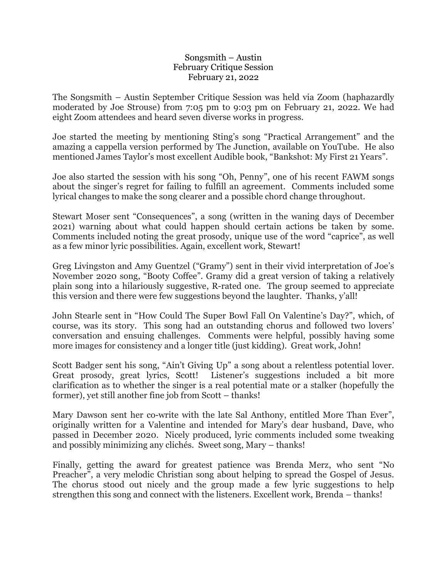## Songsmith – Austin February Critique Session February 21, 2022

The Songsmith – Austin September Critique Session was held via Zoom (haphazardly moderated by Joe Strouse) from 7:05 pm to 9:03 pm on February 21, 2022. We had eight Zoom attendees and heard seven diverse works in progress.

Joe started the meeting by mentioning Sting's song "Practical Arrangement" and the amazing a cappella version performed by The Junction, available on YouTube. He also mentioned James Taylor's most excellent Audible book, "Bankshot: My First 21 Years".

Joe also started the session with his song "Oh, Penny", one of his recent FAWM songs about the singer's regret for failing to fulfill an agreement. Comments included some lyrical changes to make the song clearer and a possible chord change throughout.

Stewart Moser sent "Consequences", a song (written in the waning days of December 2021) warning about what could happen should certain actions be taken by some. Comments included noting the great prosody, unique use of the word "caprice", as well as a few minor lyric possibilities. Again, excellent work, Stewart!

Greg Livingston and Amy Guentzel ("Gramy") sent in their vivid interpretation of Joe's November 2020 song, "Booty Coffee". Gramy did a great version of taking a relatively plain song into a hilariously suggestive, R-rated one. The group seemed to appreciate this version and there were few suggestions beyond the laughter. Thanks, y'all!

John Stearle sent in "How Could The Super Bowl Fall On Valentine's Day?", which, of course, was its story. This song had an outstanding chorus and followed two lovers' conversation and ensuing challenges. Comments were helpful, possibly having some more images for consistency and a longer title (just kidding). Great work, John!

Scott Badger sent his song, "Ain't Giving Up" a song about a relentless potential lover. Great prosody, great lyrics, Scott! Listener's suggestions included a bit more clarification as to whether the singer is a real potential mate or a stalker (hopefully the former), yet still another fine job from Scott – thanks!

Mary Dawson sent her co-write with the late Sal Anthony, entitled More Than Ever", originally written for a Valentine and intended for Mary's dear husband, Dave, who passed in December 2020. Nicely produced, lyric comments included some tweaking and possibly minimizing any clichés. Sweet song, Mary – thanks!

Finally, getting the award for greatest patience was Brenda Merz, who sent "No Preacher", a very melodic Christian song about helping to spread the Gospel of Jesus. The chorus stood out nicely and the group made a few lyric suggestions to help strengthen this song and connect with the listeners. Excellent work, Brenda – thanks!